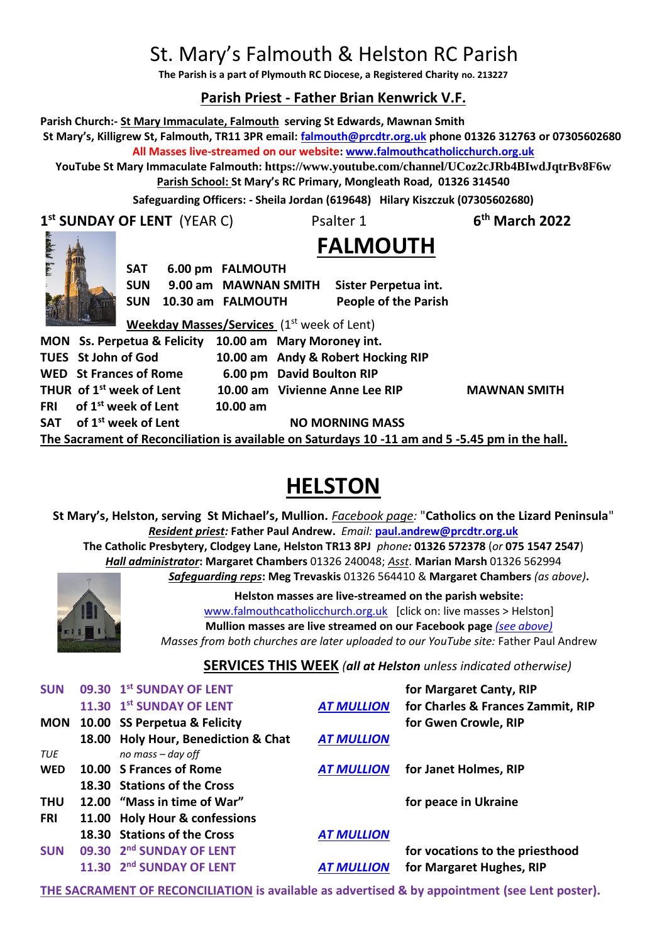# St. Mary's Falmouth & Helston RC Parish

**The Parish is a part of Plymouth RC Diocese, a Registered Charity no. 213227**

# **Parish Priest - Father Brian Kenwrick V.F.**

**Parish Church:- St Mary Immaculate, Falmouth serving St Edwards, Mawnan Smith St Mary's, Killigrew St, Falmouth, TR11 3PR email: [falmouth@prcdtr.org.uk](mailto:falmouth@prcdtr.org.uk) phone 01326 312763 or 07305602680 All Masses live-streamed on our website[: www.falmouthcatholicchurch.org.uk](http://www.falmouthcatholicchurch.org.uk/) YouTube St Mary Immaculate Falmouth: <https://www.youtube.com/channel/UCoz2cJRb4BIwdJqtrBv8F6w> Parish School: St Mary's RC Primary, Mongleath Road, 01326 314540 Safeguarding Officers: - Sheila Jordan (619648) Hilary Kiszczuk (07305602680) 1 st SUNDAY OF LENT** (YEAR C) Psalter 1 **6 th March 2022 FALMOUTH SAT 6.00 pm FALMOUTH SUN 9.00 am MAWNAN SMITH Sister Perpetua int. SUN 10.30 am FALMOUTH People of the Parish Weekday Masses/Services** (1<sup>st</sup> week of Lent) **MON Ss. Perpetua & Felicity 10.00 am Mary Moroney int. TUES St John of God 10.00 am Andy & Robert Hocking RIP WED St Frances of Rome 6.00 pm David Boulton RIP THUR of 1st week of Lent 10.00 am Vivienne Anne Lee RIP MAWNAN SMITH FRI of 1st week of Lent 10.00 am**  SAT of 1<sup>st</sup> week of Lent NO MORNING MASS **The Sacrament of Reconciliation is available on Saturdays 10 -11 am and 5 -5.45 pm in the hall.**

# **HELSTON**

**St Mary's, Helston, serving St Michael's, Mullion.** *Facebook page:* "**Catholics on the Lizard Peninsula**" *Resident priest:* **Father Paul Andrew.** *Email:* **[paul.andrew@prcdtr.org.uk](mailto:paul.andrew@prcdtr.org.uk) The Catholic Presbytery, Clodgey Lane, Helston TR13 8PJ** *phone:* **01326 572378** (*or* **075 1547 2547**) *Hall administrator***: Margaret Chambers** 01326 240048; *Asst*. **Marian Marsh** 01326 562994 *Safeguarding reps***: Meg Trevaskis** 01326 564410 & **Margaret Chambers** *(as above)***.** 



**Helston masses are live-streamed on the parish website:**  [www.falmouthcatholicchurch.org.uk](http://www.falmouthcatholicchurch.org.uk/) [click on: live masses > Helston] **Mullion masses are live streamed on our Facebook page** *(see above) Masses from both churches are later uploaded to our YouTube site:* Father Paul Andrew

**SERVICES THIS WEEK** *(all at Helston unless indicated otherwise)*

| <b>SUN</b> | 09.30 1st SUNDAY OF LENT            |                   | for Margaret Canty, RIP           |
|------------|-------------------------------------|-------------------|-----------------------------------|
|            | 11.30 1st SUNDAY OF LENT            | <b>AT MULLION</b> | for Charles & Frances Zammit, RIP |
|            | MON 10.00 SS Perpetua & Felicity    |                   | for Gwen Crowle, RIP              |
|            | 18.00 Holy Hour, Benediction & Chat | <b>AT MULLION</b> |                                   |
| TUE        | no mass - day off                   |                   |                                   |
| <b>WED</b> | 10.00 S Frances of Rome             | <b>AT MULLION</b> | for Janet Holmes, RIP             |
|            | 18.30 Stations of the Cross         |                   |                                   |
| <b>THU</b> | 12.00 "Mass in time of War"         |                   | for peace in Ukraine              |
| <b>FRI</b> | 11.00 Holy Hour & confessions       |                   |                                   |
|            | 18.30 Stations of the Cross         | <b>AT MULLION</b> |                                   |
| <b>SUN</b> | 09.30 2nd SUNDAY OF LENT            |                   | for vocations to the priesthood   |
|            | 11.30 2nd SUNDAY OF LENT            | <b>AT MULLION</b> | for Margaret Hughes, RIP          |

**THE SACRAMENT OF RECONCILIATION is available as advertised & by appointment (see Lent poster).**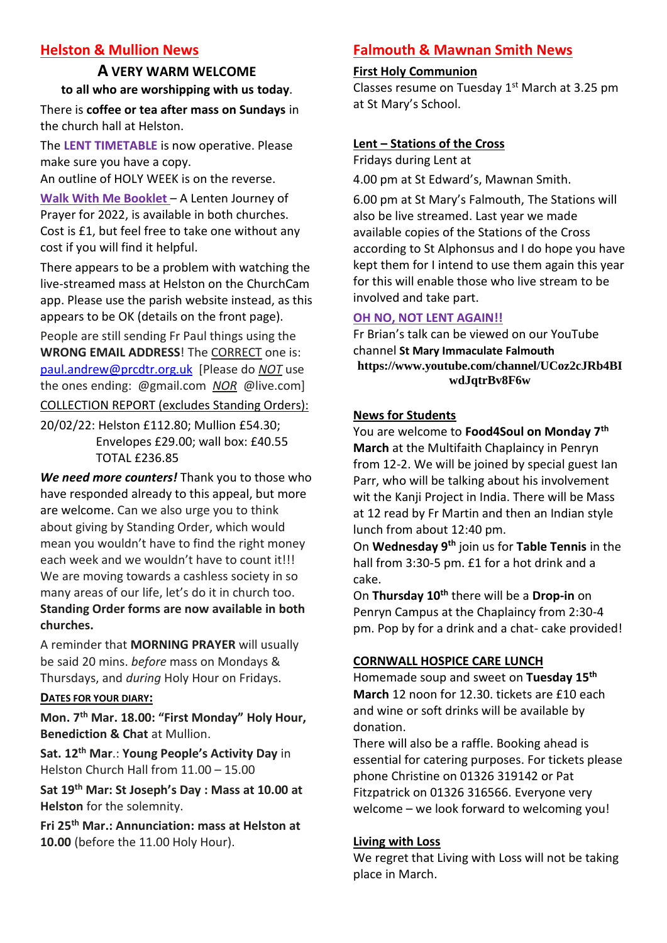# **Helston & Mullion News**

# **A VERY WARM WELCOME to all who are worshipping with us today**.

There is **coffee or tea after mass on Sundays** in the church hall at Helston.

The **LENT TIMETABLE** is now operative. Please make sure you have a copy.

An outline of HOLY WEEK is on the reverse.

**Walk With Me Booklet** – A Lenten Journey of Prayer for 2022, is available in both churches. Cost is £1, but feel free to take one without any cost if you will find it helpful.

There appears to be a problem with watching the live-streamed mass at Helston on the ChurchCam app. Please use the parish website instead, as this appears to be OK (details on the front page).

People are still sending Fr Paul things using the **WRONG EMAIL ADDRESS**! The CORRECT one is: [paul.andrew@prcdtr.org.uk](mailto:paul.andrew@prcdtr.org.uk) [Please do *NOT* use the ones ending: @gmail.com *NOR* @live.com] COLLECTION REPORT (excludes Standing Orders):

20/02/22: Helston £112.80; Mullion £54.30; Envelopes £29.00; wall box: £40.55 TOTAL £236.85

*We need more counters!* Thank you to those who have responded already to this appeal, but more are welcome. Can we also urge you to think about giving by Standing Order, which would mean you wouldn't have to find the right money each week and we wouldn't have to count it!!! We are moving towards a cashless society in so many areas of our life, let's do it in church too. **Standing Order forms are now available in both churches.**

A reminder that **MORNING PRAYER** will usually be said 20 mins. *before* mass on Mondays & Thursdays, and *during* Holy Hour on Fridays.

## **DATES FOR YOUR DIARY:**

**Mon. 7th Mar. 18.00: "First Monday" Holy Hour, Benediction & Chat** at Mullion.

**Sat. 12 th Mar**.: **Young People's Activity Day** in Helston Church Hall from 11.00 – 15.00

**Sat 19th Mar: St Joseph's Day : Mass at 10.00 at Helston** for the solemnity.

**Fri 25th Mar.: Annunciation: mass at Helston at 10.00** (before the 11.00 Holy Hour).

# **Falmouth & Mawnan Smith News**

#### **First Holy Communion**

Classes resume on Tuesday 1<sup>st</sup> March at 3.25 pm at St Mary's School.

### **Lent – Stations of the Cross**

Fridays during Lent at

4.00 pm at St Edward's, Mawnan Smith.

6.00 pm at St Mary's Falmouth, The Stations will also be live streamed. Last year we made available copies of the Stations of the Cross according to St Alphonsus and I do hope you have kept them for I intend to use them again this year for this will enable those who live stream to be involved and take part.

## **OH NO, NOT LENT AGAIN!!**

Fr Brian's talk can be viewed on our YouTube channel **St Mary Immaculate Falmouth [https://www.youtube.com/channel/UCoz2cJRb4BI](https://www.youtube.com/channel/UCoz2cJRb4BIwdJqtrBv8F6w) [wdJqtrBv8F6w](https://www.youtube.com/channel/UCoz2cJRb4BIwdJqtrBv8F6w)**

### **News for Students**

You are welcome to **Food4Soul on Monday 7th March** at the Multifaith Chaplaincy in Penryn from 12-2. We will be joined by special guest Ian Parr, who will be talking about his involvement wit the Kanii Project in India. There will be Mass at 12 read by Fr Martin and then an Indian style lunch from about 12:40 pm.

On **Wednesday 9th** join us for **Table Tennis** in the hall from 3:30-5 pm. £1 for a hot drink and a cake.

On **Thursday 10th** there will be a **Drop-in** on Penryn Campus at the Chaplaincy from 2:30-4 pm. Pop by for a drink and a chat- cake provided!

## **CORNWALL HOSPICE CARE LUNCH**

Homemade soup and sweet on **Tuesday 15th March** 12 noon for 12.30. tickets are £10 each and wine or soft drinks will be available by donation.

There will also be a raffle. Booking ahead is essential for catering purposes. For tickets please phone Christine on 01326 319142 or Pat Fitzpatrick on 01326 316566. Everyone very welcome – we look forward to welcoming you!

### **Living with Loss**

We regret that Living with Loss will not be taking place in March.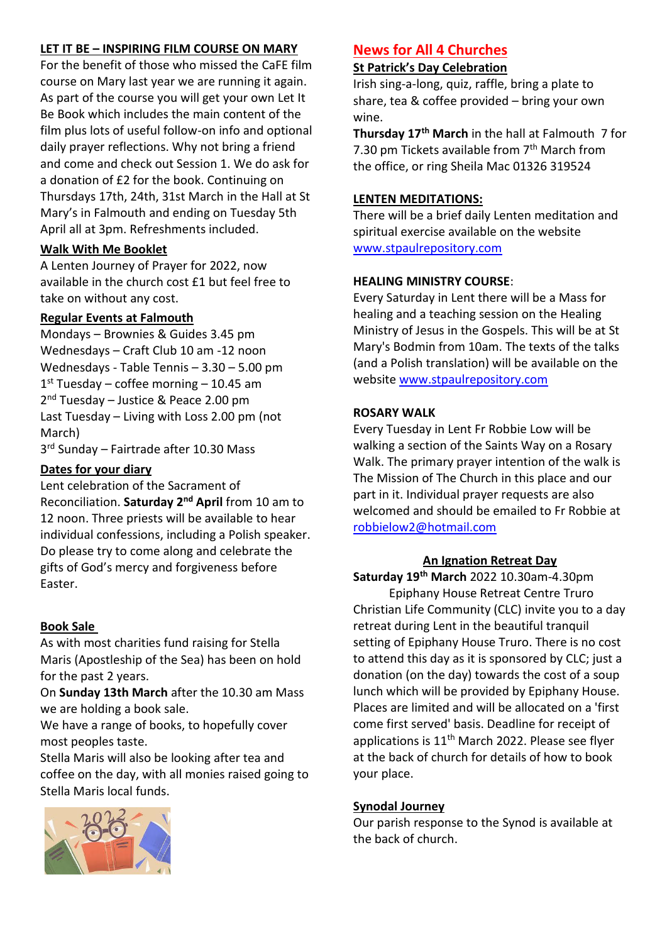## **LET IT BE – INSPIRING FILM COURSE ON MARY**

For the benefit of those who missed the CaFE film course on Mary last year we are running it again. As part of the course you will get your own Let It Be Book which includes the main content of the film plus lots of useful follow-on info and optional daily prayer reflections. Why not bring a friend and come and check out Session 1. We do ask for a donation of £2 for the book. Continuing on Thursdays 17th, 24th, 31st March in the Hall at St Mary's in Falmouth and ending on Tuesday 5th April all at 3pm. Refreshments included.

## **Walk With Me Booklet**

A Lenten Journey of Prayer for 2022, now available in the church cost £1 but feel free to take on without any cost.

# **Regular Events at Falmouth**

Mondays – Brownies & Guides 3.45 pm Wednesdays – Craft Club 10 am -12 noon Wednesdays - Table Tennis – 3.30 – 5.00 pm 1 st Tuesday – coffee morning – 10.45 am 2<sup>nd</sup> Tuesday - Justice & Peace 2.00 pm Last Tuesday – Living with Loss 2.00 pm (not March)

3<sup>rd</sup> Sunday - Fairtrade after 10.30 Mass

## **Dates for your diary**

Lent celebration of the Sacrament of Reconciliation. **Saturday 2nd April** from 10 am to 12 noon. Three priests will be available to hear individual confessions, including a Polish speaker. Do please try to come along and celebrate the gifts of God's mercy and forgiveness before Easter.

## **Book Sale**

As with most charities fund raising for Stella Maris (Apostleship of the Sea) has been on hold for the past 2 years.

On **Sunday 13th March** after the 10.30 am Mass we are holding a book sale.

We have a range of books, to hopefully cover most peoples taste.

Stella Maris will also be looking after tea and coffee on the day, with all monies raised going to Stella Maris local funds.



# **News for All 4 Churches**

## **St Patrick's Day Celebration**

Irish sing-a-long, quiz, raffle, bring a plate to share, tea & coffee provided – bring your own wine.

**Thursday 17th March** in the hall at Falmouth 7 for 7.30 pm Tickets available from  $7<sup>th</sup>$  March from the office, or ring Sheila Mac 01326 319524

## **LENTEN MEDITATIONS:**

There will be a brief daily Lenten meditation and spiritual exercise available on the website [www.stpaulrepository.com](http://www.stpaulrepository.com/)

## **HEALING MINISTRY COURSE**:

Every Saturday in Lent there will be a Mass for healing and a teaching session on the Healing Ministry of Jesus in the Gospels. This will be at St Mary's Bodmin from 10am. The texts of the talks (and a Polish translation) will be available on the website [www.stpaulrepository.com](http://www.stpaulrepository.com/)

## **ROSARY WALK**

Every Tuesday in Lent Fr Robbie Low will be walking a section of the Saints Way on a Rosary Walk. The primary prayer intention of the walk is The Mission of The Church in this place and our part in it. Individual prayer requests are also welcomed and should be emailed to Fr Robbie at [robbielow2@hotmail.com](mailto:robbielow2@hotmail.com)

### **An Ignation Retreat Day**

**Saturday 19th March** 2022 10.30am-4.30pm Epiphany House Retreat Centre Truro Christian Life Community (CLC) invite you to a day retreat during Lent in the beautiful tranquil setting of Epiphany House Truro. There is no cost to attend this day as it is sponsored by CLC; just a donation (on the day) towards the cost of a soup lunch which will be provided by Epiphany House. Places are limited and will be allocated on a 'first come first served' basis. Deadline for receipt of applications is 11<sup>th</sup> March 2022. Please see flyer at the back of church for details of how to book your place.

### **Synodal Journey**

Our parish response to the Synod is available at the back of church.